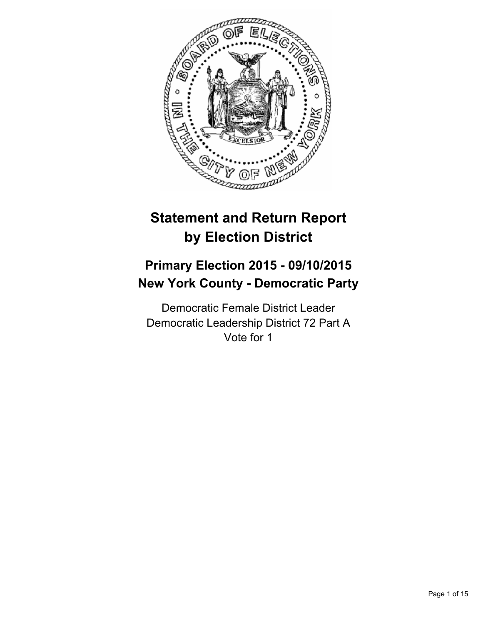

# **Statement and Return Report by Election District**

## **Primary Election 2015 - 09/10/2015 New York County - Democratic Party**

Democratic Female District Leader Democratic Leadership District 72 Part A Vote for 1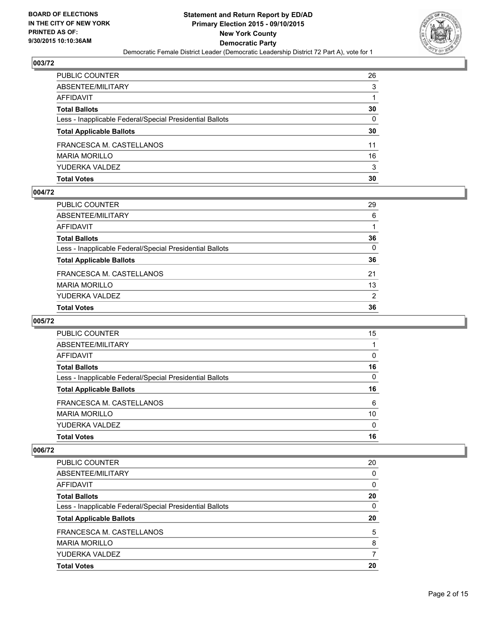

| PUBLIC COUNTER                                           | 26           |
|----------------------------------------------------------|--------------|
| ABSENTEE/MILITARY                                        | 3            |
| AFFIDAVIT                                                |              |
| Total Ballots                                            | 30           |
| Less - Inapplicable Federal/Special Presidential Ballots | $\mathbf{0}$ |
| <b>Total Applicable Ballots</b>                          | 30           |
| FRANCESCA M. CASTELLANOS                                 | 11           |
| MARIA MORILLO                                            | 16           |
| YUDERKA VALDEZ                                           | 3            |
| Total Votes                                              | 30           |

#### **004/72**

| PUBLIC COUNTER                                           | 29           |
|----------------------------------------------------------|--------------|
| ABSENTEE/MILITARY                                        | 6            |
| AFFIDAVIT                                                |              |
| Total Ballots                                            | 36           |
| Less - Inapplicable Federal/Special Presidential Ballots | $\mathbf{0}$ |
| <b>Total Applicable Ballots</b>                          | 36           |
| FRANCESCA M. CASTELLANOS                                 | 21           |
| MARIA MORILLO                                            | 13           |
| YUDERKA VALDEZ                                           | 2            |
| <b>Total Votes</b>                                       | 36           |
|                                                          |              |

#### **005/72**

| PUBLIC COUNTER                                           | 15 |
|----------------------------------------------------------|----|
| ABSENTEE/MILITARY                                        |    |
| AFFIDAVIT                                                | 0  |
| <b>Total Ballots</b>                                     | 16 |
| Less - Inapplicable Federal/Special Presidential Ballots | 0  |
| <b>Total Applicable Ballots</b>                          | 16 |
| FRANCESCA M. CASTELLANOS                                 | 6  |
| <b>MARIA MORILLO</b>                                     | 10 |
| YUDERKA VALDEZ                                           | 0  |
| <b>Total Votes</b>                                       | 16 |
|                                                          |    |

| PUBLIC COUNTER                                           | 20       |
|----------------------------------------------------------|----------|
| ABSENTEE/MILITARY                                        | 0        |
| AFFIDAVIT                                                | $\Omega$ |
| <b>Total Ballots</b>                                     | 20       |
| Less - Inapplicable Federal/Special Presidential Ballots | 0        |
| <b>Total Applicable Ballots</b>                          | 20       |
| FRANCESCA M. CASTELLANOS                                 | 5        |
| <b>MARIA MORILLO</b>                                     | 8        |
|                                                          |          |
| YUDERKA VALDEZ                                           |          |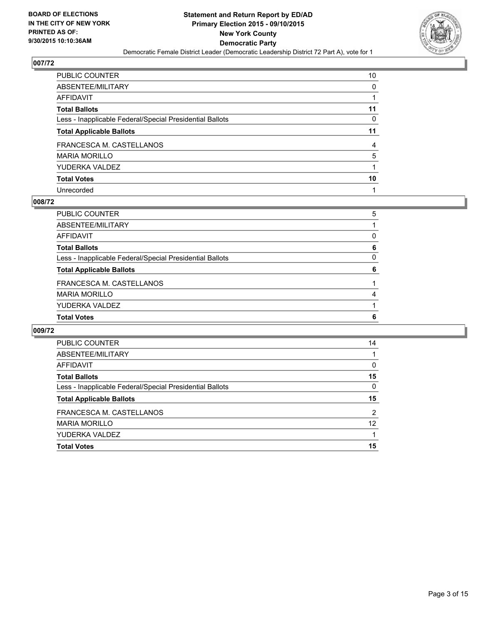

| PUBLIC COUNTER                                           | 10 |
|----------------------------------------------------------|----|
| ABSENTEE/MILITARY                                        | 0  |
| AFFIDAVIT                                                |    |
| Total Ballots                                            | 11 |
| Less - Inapplicable Federal/Special Presidential Ballots | 0  |
| <b>Total Applicable Ballots</b>                          | 11 |
| FRANCESCA M. CASTELLANOS                                 | 4  |
| MARIA MORILLO                                            | 5  |
| YUDERKA VALDEZ                                           |    |
| Total Votes                                              | 10 |
| Unrecorded                                               |    |

#### **008/72**

| PUBLIC COUNTER                                           | 5        |
|----------------------------------------------------------|----------|
| ABSENTEE/MILITARY                                        |          |
| AFFIDAVIT                                                | 0        |
| <b>Total Ballots</b>                                     | 6        |
| Less - Inapplicable Federal/Special Presidential Ballots | $\Omega$ |
| <b>Total Applicable Ballots</b>                          | 6        |
| FRANCESCA M. CASTELLANOS                                 |          |
| <b>MARIA MORILLO</b>                                     | 4        |
| YUDERKA VALDEZ                                           |          |
| <b>Total Votes</b>                                       | 6        |
|                                                          |          |

| <b>PUBLIC COUNTER</b>                                    | 14             |
|----------------------------------------------------------|----------------|
| ABSENTEE/MILITARY                                        |                |
| AFFIDAVIT                                                | 0              |
| <b>Total Ballots</b>                                     | 15             |
| Less - Inapplicable Federal/Special Presidential Ballots | 0              |
| <b>Total Applicable Ballots</b>                          | 15             |
| FRANCESCA M. CASTELLANOS                                 | $\overline{2}$ |
| <b>MARIA MORILLO</b>                                     | 12             |
| YUDERKA VALDEZ                                           |                |
|                                                          |                |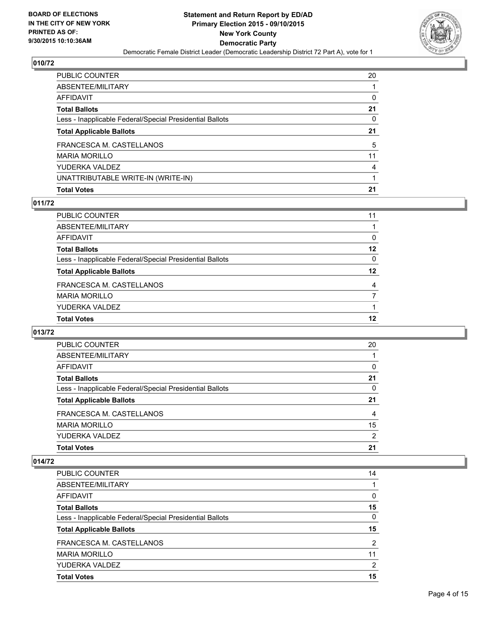

| PUBLIC COUNTER                                           | 20 |
|----------------------------------------------------------|----|
| ABSENTEE/MILITARY                                        |    |
| AFFIDAVIT                                                | 0  |
| <b>Total Ballots</b>                                     | 21 |
| Less - Inapplicable Federal/Special Presidential Ballots | 0  |
| <b>Total Applicable Ballots</b>                          | 21 |
| FRANCESCA M. CASTELLANOS                                 | 5  |
| <b>MARIA MORILLO</b>                                     | 11 |
| YUDERKA VALDEZ                                           | 4  |
| UNATTRIBUTABLE WRITE-IN (WRITE-IN)                       |    |
| <b>Total Votes</b>                                       | 21 |

#### **011/72**

| PUBLIC COUNTER                                           | 11      |
|----------------------------------------------------------|---------|
| ABSENTEE/MILITARY                                        |         |
| AFFIDAVIT                                                | 0       |
| <b>Total Ballots</b>                                     | 12      |
| Less - Inapplicable Federal/Special Presidential Ballots | 0       |
| <b>Total Applicable Ballots</b>                          | $12 \,$ |
| FRANCESCA M. CASTELLANOS                                 | 4       |
| MARIA MORILLO                                            | 7       |
| YUDERKA VALDEZ                                           |         |
| <b>Total Votes</b>                                       | 12      |

## **013/72**

| <b>PUBLIC COUNTER</b>                                    | 20 |
|----------------------------------------------------------|----|
| ABSENTEE/MILITARY                                        |    |
| AFFIDAVIT                                                | 0  |
| <b>Total Ballots</b>                                     | 21 |
| Less - Inapplicable Federal/Special Presidential Ballots | 0  |
| <b>Total Applicable Ballots</b>                          | 21 |
| FRANCESCA M. CASTELLANOS                                 | 4  |
| <b>MARIA MORILLO</b>                                     | 15 |
| YUDERKA VALDEZ                                           | 2  |
| <b>Total Votes</b>                                       | 21 |

| PUBLIC COUNTER                                           | 14 |
|----------------------------------------------------------|----|
| ABSENTEE/MILITARY                                        |    |
| AFFIDAVIT                                                | 0  |
| <b>Total Ballots</b>                                     | 15 |
| Less - Inapplicable Federal/Special Presidential Ballots | 0  |
| <b>Total Applicable Ballots</b>                          | 15 |
| FRANCESCA M. CASTELLANOS                                 | 2  |
| <b>MARIA MORILLO</b>                                     | 11 |
| YUDERKA VALDEZ                                           | 2  |
| <b>Total Votes</b>                                       | 15 |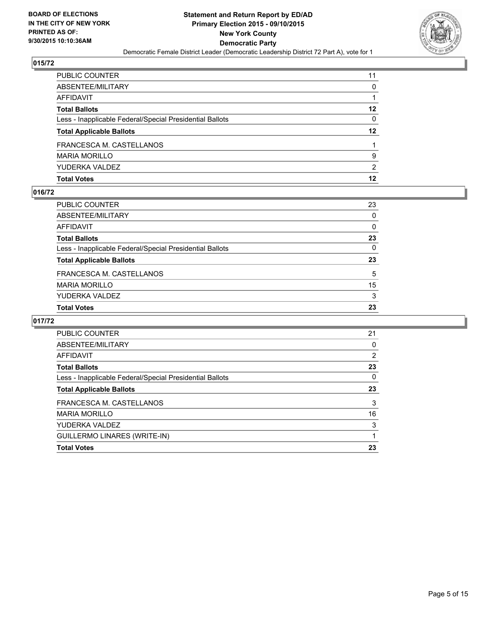

| PUBLIC COUNTER                                           | 11      |
|----------------------------------------------------------|---------|
| ABSENTEE/MILITARY                                        | 0       |
| AFFIDAVIT                                                |         |
| Total Ballots                                            | $12 \,$ |
| Less - Inapplicable Federal/Special Presidential Ballots | 0       |
| <b>Total Applicable Ballots</b>                          | $12 \,$ |
| FRANCESCA M. CASTELLANOS                                 |         |
| MARIA MORILLO                                            | 9       |
| YUDERKA VALDEZ                                           | 2       |
| Total Votes                                              | 12      |

## **016/72**

| PUBLIC COUNTER                                           | 23           |
|----------------------------------------------------------|--------------|
| ABSENTEE/MILITARY                                        | $\mathbf{0}$ |
| AFFIDAVIT                                                | 0            |
| Total Ballots                                            | 23           |
| Less - Inapplicable Federal/Special Presidential Ballots | $\mathbf{0}$ |
| <b>Total Applicable Ballots</b>                          | 23           |
|                                                          |              |
| FRANCESCA M. CASTELLANOS                                 | 5            |
| MARIA MORILLO                                            | 15           |
| YUDERKA VALDEZ                                           | 3            |
| <b>Total Votes</b>                                       | 23           |

| <b>PUBLIC COUNTER</b>                                    | 21 |
|----------------------------------------------------------|----|
| ABSENTEE/MILITARY                                        | 0  |
| AFFIDAVIT                                                | 2  |
| <b>Total Ballots</b>                                     | 23 |
| Less - Inapplicable Federal/Special Presidential Ballots | 0  |
| <b>Total Applicable Ballots</b>                          | 23 |
| FRANCESCA M. CASTELLANOS                                 | 3  |
| <b>MARIA MORILLO</b>                                     | 16 |
| YUDERKA VALDEZ                                           | 3  |
| GUILLERMO LINARES (WRITE-IN)                             |    |
| <b>Total Votes</b>                                       | 23 |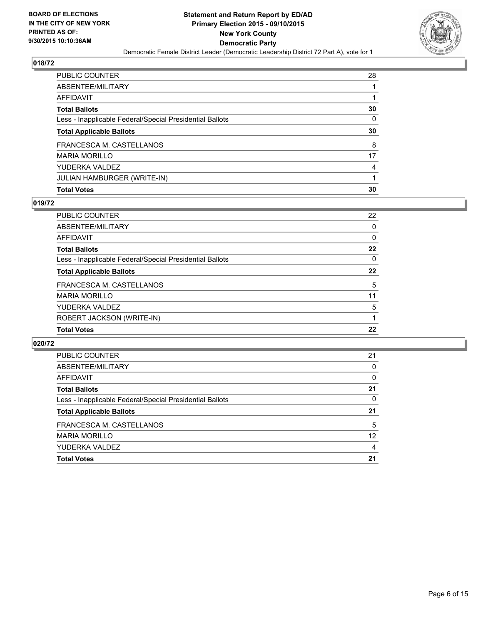

| PUBLIC COUNTER                                           | 28       |
|----------------------------------------------------------|----------|
| ABSENTEE/MILITARY                                        |          |
| AFFIDAVIT                                                |          |
| <b>Total Ballots</b>                                     | 30       |
| Less - Inapplicable Federal/Special Presidential Ballots | $\Omega$ |
| <b>Total Applicable Ballots</b>                          | 30       |
| FRANCESCA M. CASTELLANOS                                 | 8        |
| MARIA MORILLO                                            | 17       |
| YUDERKA VALDEZ                                           | 4        |
| JULIAN HAMBURGER (WRITE-IN)                              |          |
| <b>Total Votes</b>                                       | 30       |

#### **019/72**

| PUBLIC COUNTER                                           | 22       |
|----------------------------------------------------------|----------|
| ABSENTEE/MILITARY                                        | 0        |
| <b>AFFIDAVIT</b>                                         | $\Omega$ |
| <b>Total Ballots</b>                                     | $22 \,$  |
| Less - Inapplicable Federal/Special Presidential Ballots | $\Omega$ |
| <b>Total Applicable Ballots</b>                          | $22 \,$  |
| FRANCESCA M. CASTELLANOS                                 | 5        |
| <b>MARIA MORILLO</b>                                     | 11       |
| YUDERKA VALDEZ                                           | 5        |
| ROBERT JACKSON (WRITE-IN)                                |          |
| <b>Total Votes</b>                                       | 22       |

| <b>PUBLIC COUNTER</b>                                    | 21       |
|----------------------------------------------------------|----------|
| ABSENTEE/MILITARY                                        | 0        |
| AFFIDAVIT                                                | $\Omega$ |
| <b>Total Ballots</b>                                     | 21       |
| Less - Inapplicable Federal/Special Presidential Ballots | 0        |
| <b>Total Applicable Ballots</b>                          | 21       |
| FRANCESCA M. CASTELLANOS                                 | 5        |
| <b>MARIA MORILLO</b>                                     | 12       |
| YUDERKA VALDEZ                                           | 4        |
| <b>Total Votes</b>                                       | 21       |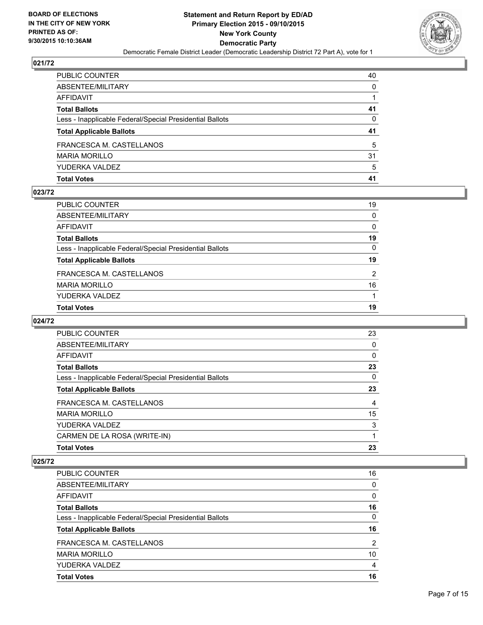

| PUBLIC COUNTER                                           | 40 |
|----------------------------------------------------------|----|
| ABSENTEE/MILITARY                                        | 0  |
| AFFIDAVIT                                                |    |
| Total Ballots                                            | 41 |
| Less - Inapplicable Federal/Special Presidential Ballots | 0  |
| <b>Total Applicable Ballots</b>                          | 41 |
| FRANCESCA M. CASTELLANOS                                 | 5  |
| MARIA MORILLO                                            | 31 |
| YUDERKA VALDEZ                                           | 5  |
| Total Votes                                              | 41 |

#### **023/72**

| PUBLIC COUNTER                                           | 19           |
|----------------------------------------------------------|--------------|
| ABSENTEE/MILITARY                                        | $\mathbf{0}$ |
| AFFIDAVIT                                                | $\Omega$     |
| Total Ballots                                            | 19           |
| Less - Inapplicable Federal/Special Presidential Ballots | $\mathbf{0}$ |
| <b>Total Applicable Ballots</b>                          | 19           |
| FRANCESCA M. CASTELLANOS                                 | 2            |
| MARIA MORILLO                                            | 16           |
| YUDERKA VALDEZ                                           |              |
| <b>Total Votes</b>                                       | 19           |
|                                                          |              |

#### **024/72**

| 23<br>0 |
|---------|
|         |
|         |
| 0       |
| 23      |
| 0       |
| 23      |
| 4       |
| 15      |
| 3       |
|         |
| 23      |
|         |

| <b>PUBLIC COUNTER</b>                                    | 16             |
|----------------------------------------------------------|----------------|
| ABSENTEE/MILITARY                                        | 0              |
| <b>AFFIDAVIT</b>                                         | 0              |
| <b>Total Ballots</b>                                     | 16             |
| Less - Inapplicable Federal/Special Presidential Ballots | $\Omega$       |
| <b>Total Applicable Ballots</b>                          | 16             |
|                                                          |                |
| FRANCESCA M. CASTELLANOS                                 | $\overline{2}$ |
| <b>MARIA MORILLO</b>                                     | 10             |
| YUDERKA VALDEZ                                           | 4              |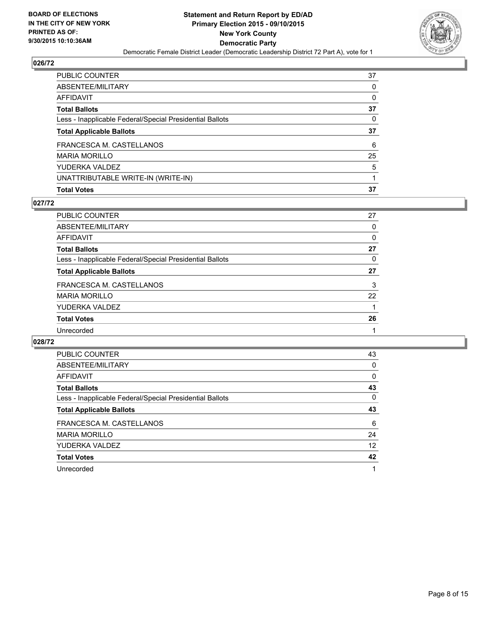

| PUBLIC COUNTER                                           | 37 |
|----------------------------------------------------------|----|
| ABSENTEE/MILITARY                                        | 0  |
| AFFIDAVIT                                                | 0  |
| <b>Total Ballots</b>                                     | 37 |
| Less - Inapplicable Federal/Special Presidential Ballots | 0  |
| <b>Total Applicable Ballots</b>                          | 37 |
| FRANCESCA M. CASTELLANOS                                 | 6  |
| MARIA MORILLO                                            | 25 |
| YUDERKA VALDEZ                                           | 5  |
| UNATTRIBUTABLE WRITE-IN (WRITE-IN)                       |    |
| <b>Total Votes</b>                                       | 37 |

#### **027/72**

| <b>PUBLIC COUNTER</b>                                    | 27 |
|----------------------------------------------------------|----|
| ABSENTEE/MILITARY                                        | 0  |
| <b>AFFIDAVIT</b>                                         | 0  |
| <b>Total Ballots</b>                                     | 27 |
| Less - Inapplicable Federal/Special Presidential Ballots | 0  |
| <b>Total Applicable Ballots</b>                          | 27 |
| FRANCESCA M. CASTELLANOS                                 | 3  |
| <b>MARIA MORILLO</b>                                     | 22 |
| YUDERKA VALDEZ                                           |    |
| <b>Total Votes</b>                                       | 26 |
| Unrecorded                                               |    |

| PUBLIC COUNTER                                           | 43       |
|----------------------------------------------------------|----------|
| ABSENTEE/MILITARY                                        | 0        |
| AFFIDAVIT                                                | $\Omega$ |
| <b>Total Ballots</b>                                     | 43       |
| Less - Inapplicable Federal/Special Presidential Ballots | 0        |
| <b>Total Applicable Ballots</b>                          | 43       |
| FRANCESCA M. CASTELLANOS                                 | 6        |
| <b>MARIA MORILLO</b>                                     | 24       |
| YUDERKA VALDEZ                                           | 12       |
| <b>Total Votes</b>                                       | 42       |
| Unrecorded                                               | 1        |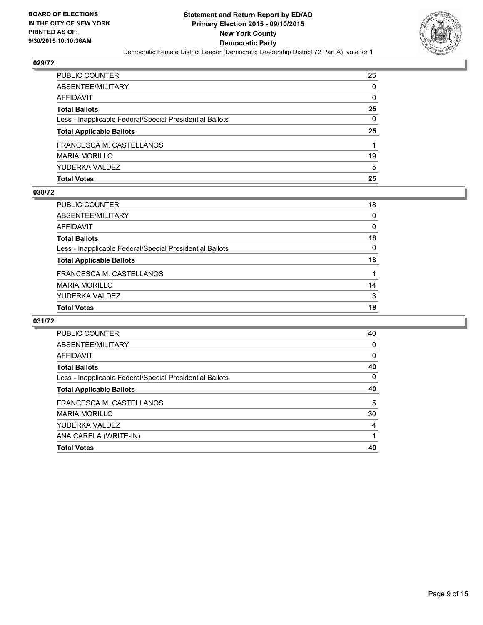

| PUBLIC COUNTER                                           | 25 |
|----------------------------------------------------------|----|
| ABSENTEE/MILITARY                                        | 0  |
| AFFIDAVIT                                                | 0  |
| Total Ballots                                            | 25 |
| Less - Inapplicable Federal/Special Presidential Ballots | 0  |
| <b>Total Applicable Ballots</b>                          | 25 |
| FRANCESCA M. CASTELLANOS                                 |    |
| MARIA MORILLO                                            | 19 |
| YUDERKA VALDEZ                                           | 5  |
| Total Votes                                              | 25 |

#### **030/72**

| PUBLIC COUNTER                                           | 18           |
|----------------------------------------------------------|--------------|
| ABSENTEE/MILITARY                                        | $\mathbf{0}$ |
| AFFIDAVIT                                                | 0            |
| Total Ballots                                            | 18           |
| Less - Inapplicable Federal/Special Presidential Ballots | $\mathbf{0}$ |
| <b>Total Applicable Ballots</b>                          | 18           |
| FRANCESCA M. CASTELLANOS                                 |              |
| MARIA MORILLO                                            | 14           |
| YUDERKA VALDEZ                                           | 3            |
| <b>Total Votes</b>                                       | 18           |
|                                                          |              |

| <b>PUBLIC COUNTER</b>                                    | 40 |
|----------------------------------------------------------|----|
| ABSENTEE/MILITARY                                        | 0  |
| AFFIDAVIT                                                | 0  |
| <b>Total Ballots</b>                                     | 40 |
| Less - Inapplicable Federal/Special Presidential Ballots | 0  |
| <b>Total Applicable Ballots</b>                          | 40 |
| FRANCESCA M. CASTELLANOS                                 | 5  |
| <b>MARIA MORILLO</b>                                     | 30 |
| YUDERKA VALDEZ                                           | 4  |
| ANA CARELA (WRITE-IN)                                    |    |
| <b>Total Votes</b>                                       | 40 |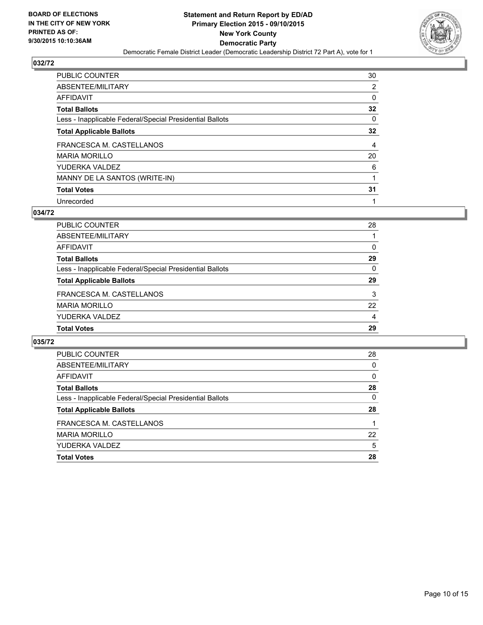

| PUBLIC COUNTER                                           | 30             |
|----------------------------------------------------------|----------------|
| ABSENTEE/MILITARY                                        | $\overline{2}$ |
| AFFIDAVIT                                                | 0              |
| <b>Total Ballots</b>                                     | 32             |
| Less - Inapplicable Federal/Special Presidential Ballots | 0              |
| <b>Total Applicable Ballots</b>                          | 32             |
| FRANCESCA M. CASTELLANOS                                 | 4              |
| <b>MARIA MORILLO</b>                                     | 20             |
| YUDERKA VALDEZ                                           | 6              |
| MANNY DE LA SANTOS (WRITE-IN)                            |                |
| <b>Total Votes</b>                                       | 31             |
| Unrecorded                                               |                |

#### **034/72**

| PUBLIC COUNTER                                           | 28       |
|----------------------------------------------------------|----------|
| ABSENTEE/MILITARY                                        |          |
| AFFIDAVIT                                                | $\Omega$ |
| <b>Total Ballots</b>                                     | 29       |
| Less - Inapplicable Federal/Special Presidential Ballots | 0        |
| <b>Total Applicable Ballots</b>                          | 29       |
| FRANCESCA M. CASTELLANOS                                 | 3        |
| <b>MARIA MORILLO</b>                                     | 22       |
| YUDERKA VALDEZ                                           | 4        |
| <b>Total Votes</b>                                       | 29       |
|                                                          |          |

| PUBLIC COUNTER                                           | 28 |
|----------------------------------------------------------|----|
| ABSENTEE/MILITARY                                        | 0  |
| <b>AFFIDAVIT</b>                                         | 0  |
| <b>Total Ballots</b>                                     | 28 |
| Less - Inapplicable Federal/Special Presidential Ballots | 0  |
| <b>Total Applicable Ballots</b>                          | 28 |
| FRANCESCA M. CASTELLANOS                                 |    |
| <b>MARIA MORILLO</b>                                     | 22 |
| YUDERKA VALDEZ                                           | 5  |
| <b>Total Votes</b>                                       | 28 |
|                                                          |    |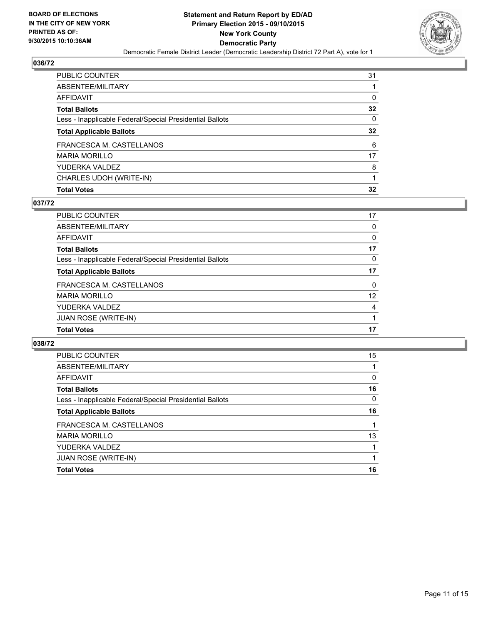

| <b>Total Votes</b>                                       | 32              |
|----------------------------------------------------------|-----------------|
| CHARLES UDOH (WRITE-IN)                                  |                 |
| YUDERKA VALDEZ                                           | 8               |
| MARIA MORILLO                                            | 17              |
| FRANCESCA M. CASTELLANOS                                 | 6               |
| <b>Total Applicable Ballots</b>                          | $32\phantom{a}$ |
| Less - Inapplicable Federal/Special Presidential Ballots | 0               |
| Total Ballots                                            | 32              |
| AFFIDAVIT                                                | 0               |
| ABSENTEE/MILITARY                                        |                 |
| PUBLIC COUNTER                                           | 31              |

#### **037/72**

| PUBLIC COUNTER                                           | 17                |
|----------------------------------------------------------|-------------------|
| ABSENTEE/MILITARY                                        | 0                 |
| <b>AFFIDAVIT</b>                                         | 0                 |
| <b>Total Ballots</b>                                     | 17                |
| Less - Inapplicable Federal/Special Presidential Ballots | $\Omega$          |
| <b>Total Applicable Ballots</b>                          | 17                |
| FRANCESCA M. CASTELLANOS                                 | $\mathbf{0}$      |
| <b>MARIA MORILLO</b>                                     | $12 \overline{ }$ |
| YUDERKA VALDEZ                                           | 4                 |
| <b>JUAN ROSE (WRITE-IN)</b>                              |                   |
| <b>Total Votes</b>                                       | 17                |
|                                                          |                   |

| PUBLIC COUNTER                                           | 15 |
|----------------------------------------------------------|----|
| ABSENTEE/MILITARY                                        |    |
| AFFIDAVIT                                                | 0  |
| <b>Total Ballots</b>                                     | 16 |
| Less - Inapplicable Federal/Special Presidential Ballots | 0  |
| <b>Total Applicable Ballots</b>                          | 16 |
| FRANCESCA M. CASTELLANOS                                 |    |
| <b>MARIA MORILLO</b>                                     | 13 |
| YUDERKA VALDEZ                                           |    |
| <b>JUAN ROSE (WRITE-IN)</b>                              | 1  |
| <b>Total Votes</b>                                       | 16 |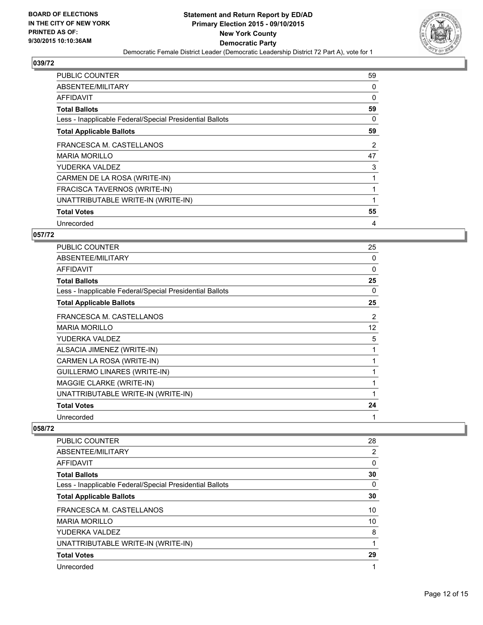

| <b>PUBLIC COUNTER</b>                                    | 59 |
|----------------------------------------------------------|----|
| ABSENTEE/MILITARY                                        | 0  |
| AFFIDAVIT                                                | 0  |
| <b>Total Ballots</b>                                     | 59 |
| Less - Inapplicable Federal/Special Presidential Ballots | 0  |
| <b>Total Applicable Ballots</b>                          | 59 |
| FRANCESCA M. CASTELLANOS                                 | 2  |
| <b>MARIA MORILLO</b>                                     | 47 |
| YUDERKA VALDEZ                                           | 3  |
| CARMEN DE LA ROSA (WRITE-IN)                             |    |
| FRACISCA TAVERNOS (WRITE-IN)                             |    |
| UNATTRIBUTABLE WRITE-IN (WRITE-IN)                       |    |
| <b>Total Votes</b>                                       | 55 |
| Unrecorded                                               | 4  |

## **057/72**

| <b>PUBLIC COUNTER</b>                                    | 25 |
|----------------------------------------------------------|----|
| ABSENTEE/MILITARY                                        | 0  |
| <b>AFFIDAVIT</b>                                         | 0  |
| <b>Total Ballots</b>                                     | 25 |
| Less - Inapplicable Federal/Special Presidential Ballots | 0  |
| <b>Total Applicable Ballots</b>                          | 25 |
| FRANCESCA M. CASTELLANOS                                 | 2  |
| <b>MARIA MORILLO</b>                                     | 12 |
| YUDERKA VALDEZ                                           | 5  |
| ALSACIA JIMENEZ (WRITE-IN)                               | 1  |
| CARMEN LA ROSA (WRITE-IN)                                | 1  |
| GUILLERMO LINARES (WRITE-IN)                             | 1  |
| MAGGIE CLARKE (WRITE-IN)                                 | 1  |
| UNATTRIBUTABLE WRITE-IN (WRITE-IN)                       | 1  |
| <b>Total Votes</b>                                       | 24 |
| Unrecorded                                               | 1  |

| <b>PUBLIC COUNTER</b>                                    | 28 |
|----------------------------------------------------------|----|
| ABSENTEE/MILITARY                                        | 2  |
| AFFIDAVIT                                                | 0  |
| <b>Total Ballots</b>                                     | 30 |
| Less - Inapplicable Federal/Special Presidential Ballots | 0  |
| <b>Total Applicable Ballots</b>                          | 30 |
| FRANCESCA M. CASTELLANOS                                 | 10 |
| <b>MARIA MORILLO</b>                                     | 10 |
| YUDERKA VALDEZ                                           | 8  |
| UNATTRIBUTABLE WRITE-IN (WRITE-IN)                       |    |
| <b>Total Votes</b>                                       | 29 |
| Unrecorded                                               |    |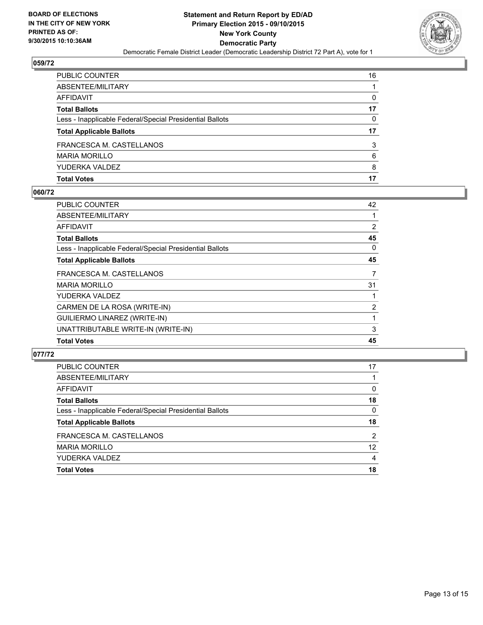

| PUBLIC COUNTER                                           | 16 |
|----------------------------------------------------------|----|
| ABSENTEE/MILITARY                                        |    |
| AFFIDAVIT                                                | 0  |
| Total Ballots                                            | 17 |
| Less - Inapplicable Federal/Special Presidential Ballots | 0  |
| <b>Total Applicable Ballots</b>                          | 17 |
| FRANCESCA M. CASTELLANOS                                 | 3  |
| MARIA MORILLO                                            | 6  |
| YUDERKA VALDEZ                                           | 8  |
| Total Votes                                              | 17 |

#### **060/72**

| PUBLIC COUNTER                                           | 42             |
|----------------------------------------------------------|----------------|
| ABSENTEE/MILITARY                                        |                |
| AFFIDAVIT                                                | $\overline{2}$ |
| <b>Total Ballots</b>                                     | 45             |
| Less - Inapplicable Federal/Special Presidential Ballots | 0              |
| <b>Total Applicable Ballots</b>                          | 45             |
| FRANCESCA M. CASTELLANOS                                 | 7              |
| MARIA MORILLO                                            | 31             |
| YUDERKA VALDEZ                                           |                |
| CARMEN DE LA ROSA (WRITE-IN)                             | $\overline{2}$ |
| <b>GUILIERMO LINAREZ (WRITE-IN)</b>                      |                |
| UNATTRIBUTABLE WRITE-IN (WRITE-IN)                       | 3              |
| Total Votes                                              | 45             |
|                                                          |                |

| <b>Total Votes</b>                                       | 18              |
|----------------------------------------------------------|-----------------|
| YUDERKA VALDEZ                                           | 4               |
| <b>MARIA MORILLO</b>                                     | 12 <sup>2</sup> |
| FRANCESCA M. CASTELLANOS                                 | 2               |
| <b>Total Applicable Ballots</b>                          | 18              |
| Less - Inapplicable Federal/Special Presidential Ballots | 0               |
| <b>Total Ballots</b>                                     | 18              |
| <b>AFFIDAVIT</b>                                         | 0               |
| ABSENTEE/MILITARY                                        |                 |
| PUBLIC COUNTER                                           | 17              |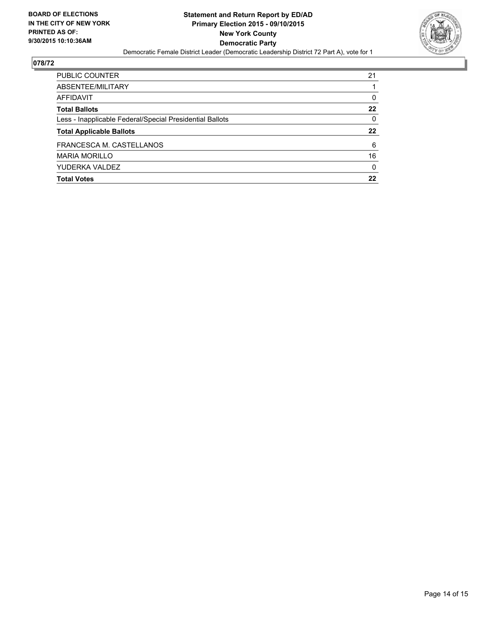

| PUBLIC COUNTER                                           | 21       |
|----------------------------------------------------------|----------|
| ABSENTEE/MILITARY                                        |          |
| AFFIDAVIT                                                | 0        |
| <b>Total Ballots</b>                                     | 22       |
| Less - Inapplicable Federal/Special Presidential Ballots | $\Omega$ |
| <b>Total Applicable Ballots</b>                          | 22       |
| FRANCESCA M. CASTELLANOS                                 | 6        |
| <b>MARIA MORILLO</b>                                     | 16       |
| YUDERKA VALDEZ                                           | $\Omega$ |
| <b>Total Votes</b>                                       | 22       |